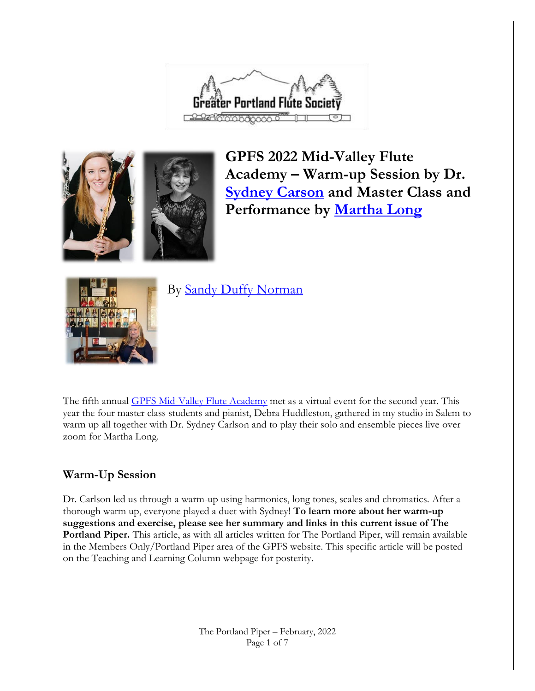



**GPFS 2022 Mid-Valley Flute Academy – Warm-up Session by Dr. [Sydney Carson](https://sydneycarlsonflute.com/) and Master Class and Performance by [Martha Long](http://www.marthaclong.com/)**



By [Sandy Duffy Norman](http://rosewynde.com/studio.html)

The fifth annual [GPFS Mid-Valley Flute Academy](https://gpfs.org/Flute-Academy-Salem) met as a virtual event for the second year. This year the four master class students and pianist, Debra Huddleston, gathered in my studio in Salem to warm up all together with Dr. Sydney Carlson and to play their solo and ensemble pieces live over zoom for Martha Long.

### **Warm-Up Session**

Dr. Carlson led us through a warm-up using harmonics, long tones, scales and chromatics. After a thorough warm up, everyone played a duet with Sydney! **To learn more about her warm-up suggestions and exercise, please see her summary and links in this current issue of The Portland Piper.** This article, as with all articles written for The Portland Piper, will remain available in the Members Only/Portland Piper area of the GPFS website. This specific article will be posted on the Teaching and Learning Column webpage for posterity.

> The Portland Piper – February, 2022 Page 1 of 7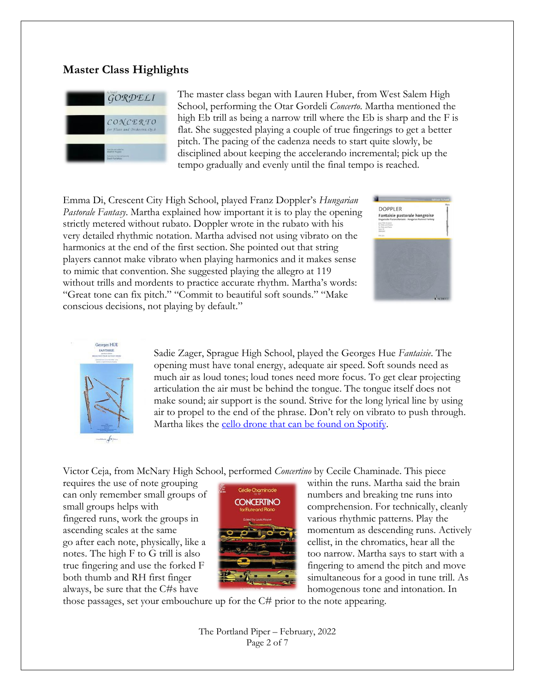#### **Master Class Highlights**



The master class began with Lauren Huber, from West Salem High School, performing the Otar Gordeli *Concerto*. Martha mentioned the high Eb trill as being a narrow trill where the Eb is sharp and the F is flat. She suggested playing a couple of true fingerings to get a better pitch. The pacing of the cadenza needs to start quite slowly, be disciplined about keeping the accelerando incremental; pick up the tempo gradually and evenly until the final tempo is reached.

Emma Di, Crescent City High School, played Franz Doppler's *Hungarian Pastorale Fantasy*. Martha explained how important it is to play the opening strictly metered without rubato. Doppler wrote in the rubato with his very detailed rhythmic notation. Martha advised not using vibrato on the harmonics at the end of the first section. She pointed out that string players cannot make vibrato when playing harmonics and it makes sense to mimic that convention. She suggested playing the allegro at 119 without trills and mordents to practice accurate rhythm. Martha's words: "Great tone can fix pitch." "Commit to beautiful soft sounds." "Make conscious decisions, not playing by default."





Sadie Zager, Sprague High School, played the Georges Hue *Fantaisie*. The opening must have tonal energy, adequate air speed. Soft sounds need as much air as loud tones; loud tones need more focus. To get clear projecting articulation the air must be behind the tongue. The tongue itself does not make sound; air support is the sound. Strive for the long lyrical line by using air to propel to the end of the phrase. Don't rely on vibrato to push through. Martha likes the [cello drone that can be found on Spotify.](https://open.spotify.com/album/2gkKlUurA3LLs7ULGxNbmR)

Victor Ceja, from McNary High School, performed *Concertino* by Cecile Chaminade. This piece

fingered runs, work the groups in various rhythmic patterns. Play the



requires the use of note grouping within the runs. Martha said the brain can only remember small groups of numbers and breaking tne runs into small groups helps with comprehension. For technically, cleanly ascending scales at the same  $\overline{a}$   $\overline{a}$   $\overline{b}$   $\overline{c}$  momentum as descending runs. Actively go after each note, physically, like a cellist, in the chromatics, hear all the notes. The high F to G trill is also too narrow. Martha says to start with a true fingering and use the forked F fingering to amend the pitch and move both thumb and RH first finger **simultaneous** for a good in tune trill. As always, be sure that the C#s have homogenous tone and intonation. In

those passages, set your embouchure up for the C# prior to the note appearing.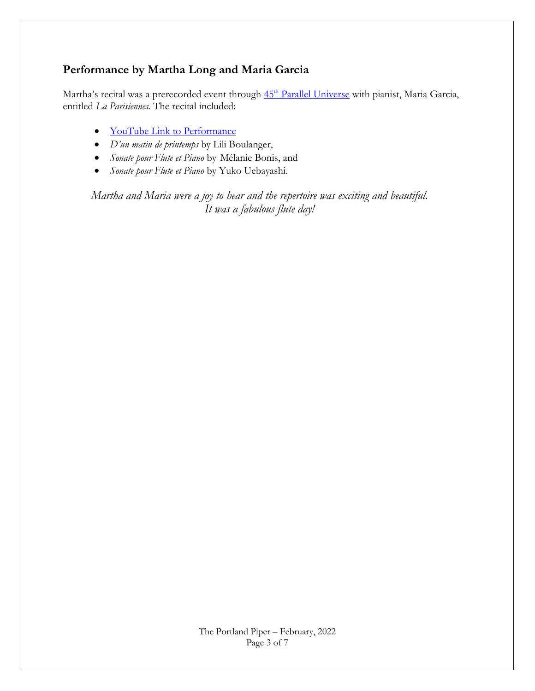### **Performance by Martha Long and Maria Garcia**

Martha's recital was a prerecorded event through  $45<sup>th</sup>$  [Parallel Universe](https://www.45thparallelpdx.org/) with pianist, Maria Garcia, entitled *La Parisiennes.* The recital included:

- [YouTube Link to Performance](https://youtu.be/VKM6I0GRN98)
- *D'un matin de printemps* by Lili Boulanger,
- *Sonate pour Flute et Piano* by Mélanie Bonis, and
- *Sonate pour Flute et Piano* by Yuko Uebayashi.

*Martha and Maria were a joy to hear and the repertoire was exciting and beautiful. It was a fabulous flute day!*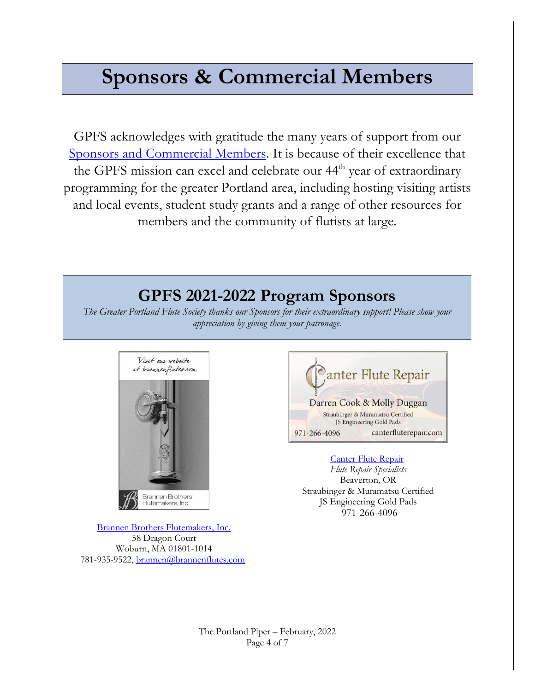# **Sponsors & Commercial Members**

GPFS acknowledges with gratitude the many years of support from our [Sponsors and Commercial Members.](https://gpfs.org/Commercial-Membership) It is because of their excellence that the GPFS mission can excel and celebrate our 44<sup>th</sup> year of extraordinary programming for the greater Portland area, including hosting visiting artists and local events, student study grants and a range of other resources for members and the community of flutists at large.

# **GPFS 2021-2022 Program Sponsors**

*The Greater Portland Flute Society thanks our Sponsors for their extraordinary support! Please show your appreciation by giving them your patronage.*



[Brannen Brothers Flutemakers, Inc.](https://www.brannenflutes.com/) 58 Dragon Court Woburn, MA 01801-1014 781-935-9522[, brannen@brannenflutes.com](mailto:brannen@brannenflutes.com)



[Canter Flute Repair](https://www.canterfluterepair.com/)

*Flute Repair Specialists* Beaverton, OR Straubinger & Muramatsu Certified JS Engineering Gold Pads 971-266-4096

The Portland Piper – February, 2022 Page 4 of 7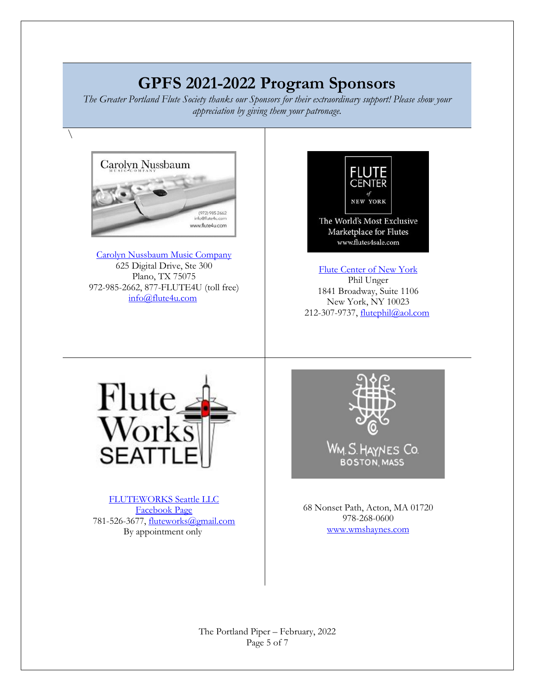# **GPFS 2021-2022 Program Sponsors**

*The Greater Portland Flute Society thanks our Sponsors for their extraordinary support! Please show your appreciation by giving them your patronage.*



 $\setminus$ 

[Carolyn Nussbaum Music Company](http://www.flute4u.com/) 625 Digital Drive, Ste 300 Plano, TX 75075 972-985-2662, 877-FLUTE4U (toll free) [info@flute4u.com](mailto:info@flute4u.com)



[Flute Center of New York](http://www.flutes4sale.com/) Phil Unger 1841 Broadway, Suite 1106 New York, NY 10023 212-307-9737, [flutephil@aol.com](mailto:flutephil@aol.com)



[FLUTEWORKS Seattle LLC](https://www.fwseattle.com/) [Facebook Page](https://www.facebook.com/fluteworksseattle/?ref=page_internal) 781-526-3677, [fluteworks@gmail.com](mailto:fluteworks@gmail.com) By appointment only



68 Nonset Path, Acton, MA 01720 978-268-0600 <www.wmshaynes.com>

The Portland Piper – February, 2022 Page 5 of 7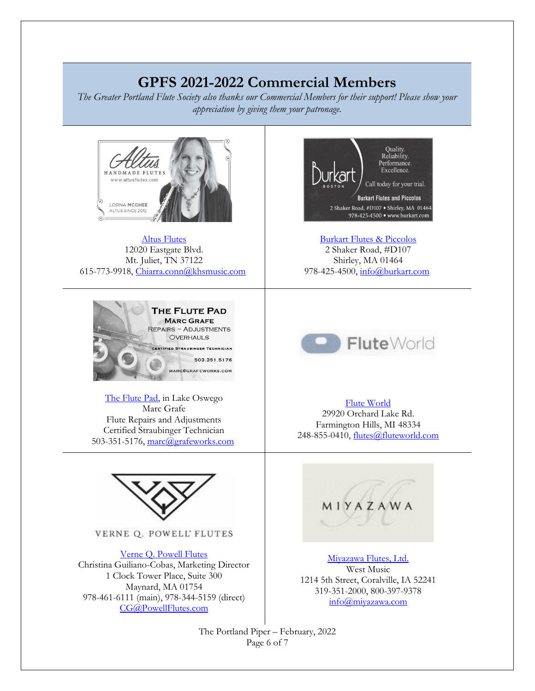## **GPFS 2021-2022 Commercial Members**

*The Greater Portland Flute Society also thanks our Commercial Members for their support! Please show your appreciation by giving them your patronage.*



[Altus Flutes](http://www.altusflutes.com/) 12020 Eastgate Blvd. Mt. Juliet, TN 37122 615-773-9918, [Chiarra.conn@khsmusic.com](mailto:Chiarra.conn@khsmusic.com)



[The Flute Pad,](https://gpfs.org/images/Marc_Grafe.pdf) in Lake Oswego Marc Grafe Flute Repairs and Adjustments Certified Straubinger Technician 503-351-5176, [marc@grafeworks.com](mailto:marc@grafeworks.com)



VERNE Q. POWELL' FLUTES

[Verne Q. Powell Flutes](https://www.powellflutes.com/en/) Christina Guiliano-Cobas, Marketing Director 1 Clock Tower Place, Suite 300 Maynard, MA 01754 978-461-6111 (main), 978-344-5159 (direct) <CG@PowellFlutes.com>



[Burkart Flutes & Piccolos](http://www.burkart.com/) 2 Shaker Road, #D107 Shirley, MA 01464 978-425-4500, [info@burkart.com](mailto:info@burkart.com)



#### [Flute World](http://www.fluteworld.com/)

29920 Orchard Lake Rd. Farmington Hills, MI 48334 248-855-0410, [flutes@fluteworld.com](mailto:flutes@fluteworld.com)



[Miyazawa Flutes, Ltd.](https://miyazawa.com/) West Music 1214 5th Street, Coralville, IA 52241 319-351-2000, 800-397-9378 <info@miyazawa.com>

The Portland Piper – February, 2022 Page 6 of 7